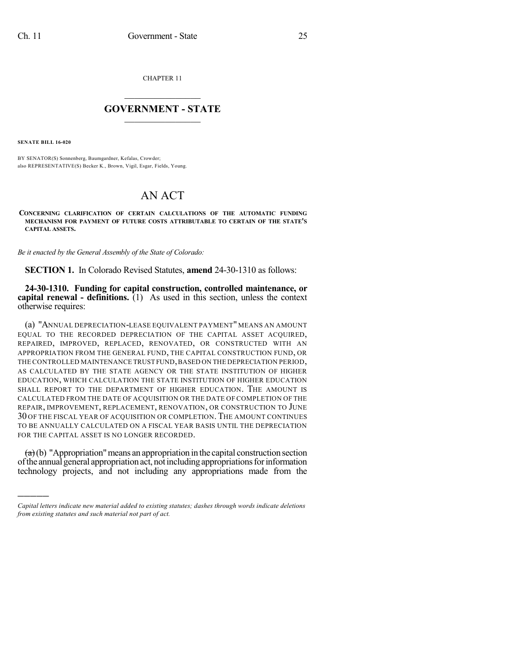CHAPTER 11

## $\overline{\phantom{a}}$  . The set of the set of the set of the set of the set of the set of the set of the set of the set of the set of the set of the set of the set of the set of the set of the set of the set of the set of the set o **GOVERNMENT - STATE**  $\_$

**SENATE BILL 16-020**

)))))

BY SENATOR(S) Sonnenberg, Baumgardner, Kefalas, Crowder; also REPRESENTATIVE(S) Becker K., Brown, Vigil, Esgar, Fields, Young.

## AN ACT

**CONCERNING CLARIFICATION OF CERTAIN CALCULATIONS OF THE AUTOMATIC FUNDING MECHANISM FOR PAYMENT OF FUTURE COSTS ATTRIBUTABLE TO CERTAIN OF THE STATE'S CAPITAL ASSETS.**

*Be it enacted by the General Assembly of the State of Colorado:*

**SECTION 1.** In Colorado Revised Statutes, **amend** 24-30-1310 as follows:

**24-30-1310. Funding for capital construction, controlled maintenance, or capital renewal - definitions.** (1) As used in this section, unless the context otherwise requires:

(a) "ANNUAL DEPRECIATION-LEASE EQUIVALENT PAYMENT" MEANS AN AMOUNT EQUAL TO THE RECORDED DEPRECIATION OF THE CAPITAL ASSET ACQUIRED, REPAIRED, IMPROVED, REPLACED, RENOVATED, OR CONSTRUCTED WITH AN APPROPRIATION FROM THE GENERAL FUND, THE CAPITAL CONSTRUCTION FUND, OR THE CONTROLLED MAINTENANCE TRUST FUND,BASED ON THE DEPRECIATION PERIOD, AS CALCULATED BY THE STATE AGENCY OR THE STATE INSTITUTION OF HIGHER EDUCATION, WHICH CALCULATION THE STATE INSTITUTION OF HIGHER EDUCATION SHALL REPORT TO THE DEPARTMENT OF HIGHER EDUCATION. THE AMOUNT IS CALCULATED FROM THE DATE OF ACQUISITION OR THE DATE OF COMPLETION OF THE REPAIR, IMPROVEMENT, REPLACEMENT, RENOVATION, OR CONSTRUCTION TO JUNE 30 OF THE FISCAL YEAR OF ACQUISITION OR COMPLETION.THE AMOUNT CONTINUES TO BE ANNUALLY CALCULATED ON A FISCAL YEAR BASIS UNTIL THE DEPRECIATION FOR THE CAPITAL ASSET IS NO LONGER RECORDED.

 $(a)$  (b) "Appropriation" means an appropriation in the capital construction section of the annual general appropriation act, not including appropriations for information technology projects, and not including any appropriations made from the

*Capital letters indicate new material added to existing statutes; dashes through words indicate deletions from existing statutes and such material not part of act.*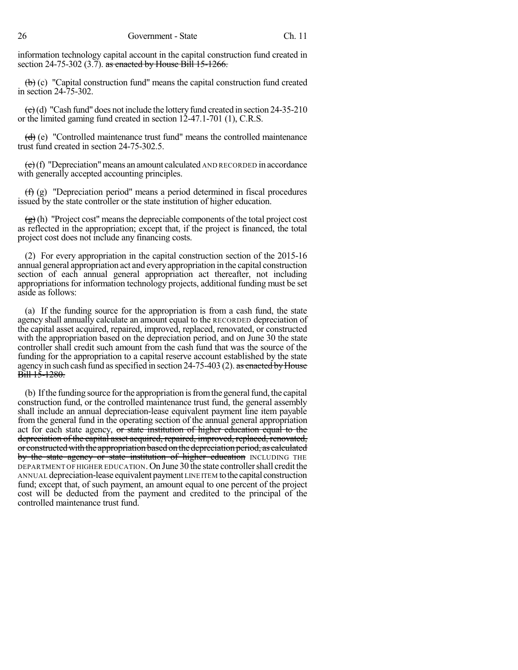information technology capital account in the capital construction fund created in section 24-75-302  $(3.7)$ . as enacted by House Bill 15-1266.

 $\left(\frac{b}{c}\right)$  (c) "Capital construction fund" means the capital construction fund created in section 24-75-302.

 $\left(\frac{c}{c}\right)$  (d) "Cash fund" does not include the lottery fund created in section 24-35-210 or the limited gaming fund created in section 12-47.1-701 (1), C.R.S.

 $(d)$  (e) "Controlled maintenance trust fund" means the controlled maintenance trust fund created in section 24-75-302.5.

 $\left(\frac{e}{c}\right)$  (f) "Depreciation" means an amount calculated AND RECORDED in accordance with generally accepted accounting principles.

(f) (g) "Depreciation period" means a period determined in fiscal procedures issued by the state controller or the state institution of higher education.

 $\left(\frac{g}{g}\right)$  (h) "Project cost" means the depreciable components of the total project cost as reflected in the appropriation; except that, if the project is financed, the total project cost does not include any financing costs.

(2) For every appropriation in the capital construction section of the 2015-16 annual general appropriation act and everyappropriation in the capital construction section of each annual general appropriation act thereafter, not including appropriations for information technology projects, additional funding must be set aside as follows:

(a) If the funding source for the appropriation is from a cash fund, the state agency shall annually calculate an amount equal to the RECORDED depreciation of the capital asset acquired, repaired, improved, replaced, renovated, or constructed with the appropriation based on the depreciation period, and on June 30 the state controller shall credit such amount from the cash fund that was the source of the funding for the appropriation to a capital reserve account established by the state agency in such cash fund as specified in section  $24-75-403$  (2). as enacted by House Bill 15-1280.

(b) If the funding source for the appropriation is from the general fund, the capital construction fund, or the controlled maintenance trust fund, the general assembly shall include an annual depreciation-lease equivalent payment line item payable from the general fund in the operating section of the annual general appropriation act for each state agency, or state institution of higher education equal to the depreciation of the capital asset acquired, repaired, improved, replaced, renovated, or constructed with the appropriation based on the depreciation period, as calculated by the state agency or state institution of higher education INCLUDING THE DEPARTMENT OF HIGHER EDUCATION. On June 30 the state controllershall credit the ANNUAL depreciation-lease equivalent payment LINE ITEM tothe capital construction fund; except that, of such payment, an amount equal to one percent of the project cost will be deducted from the payment and credited to the principal of the controlled maintenance trust fund.